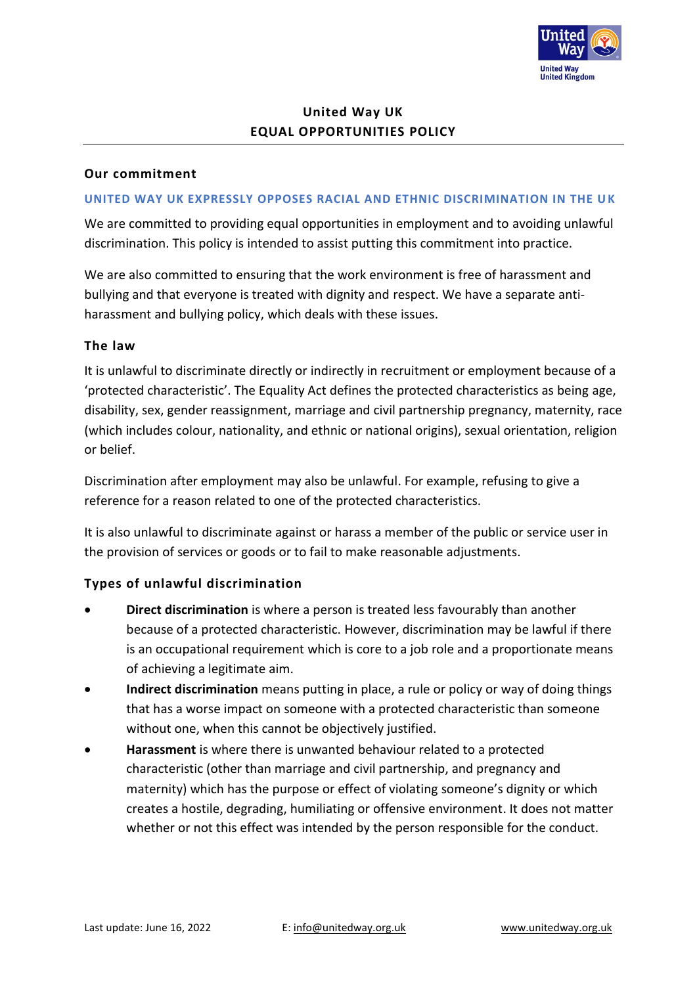

# **United Way UK EQUAL OPPORTUNITIES POLICY**

### **Our commitment**

#### **UNITED WAY UK EXPRESSLY OPPOSES RACIAL AND ETHNIC DISCRIMINATION IN THE UK**

We are committed to providing equal opportunities in employment and to avoiding unlawful discrimination. This policy is intended to assist putting this commitment into practice.

We are also committed to ensuring that the work environment is free of harassment and bullying and that everyone is treated with dignity and respect. We have a separate antiharassment and bullying policy, which deals with these issues.

### **The law**

It is unlawful to discriminate directly or indirectly in recruitment or employment because of a 'protected characteristic'. The Equality Act defines the protected characteristics as being age, disability, sex, gender reassignment, marriage and civil partnership pregnancy, maternity, race (which includes colour, nationality, and ethnic or national origins), sexual orientation, religion or belief.

Discrimination after employment may also be unlawful. For example, refusing to give a reference for a reason related to one of the protected characteristics.

It is also unlawful to discriminate against or harass a member of the public or service user in the provision of services or goods or to fail to make reasonable adjustments.

### **Types of unlawful discrimination**

- **Direct discrimination** is where a person is treated less favourably than another because of a protected characteristic. However, discrimination may be lawful if there is an occupational requirement which is core to a job role and a proportionate means of achieving a legitimate aim.
- **Indirect discrimination** means putting in place, a rule or policy or way of doing things that has a worse impact on someone with a protected characteristic than someone without one, when this cannot be objectively justified.
- **Harassment** is where there is unwanted behaviour related to a protected characteristic (other than marriage and civil partnership, and pregnancy and maternity) which has the purpose or effect of violating someone's dignity or which creates a hostile, degrading, humiliating or offensive environment. It does not matter whether or not this effect was intended by the person responsible for the conduct.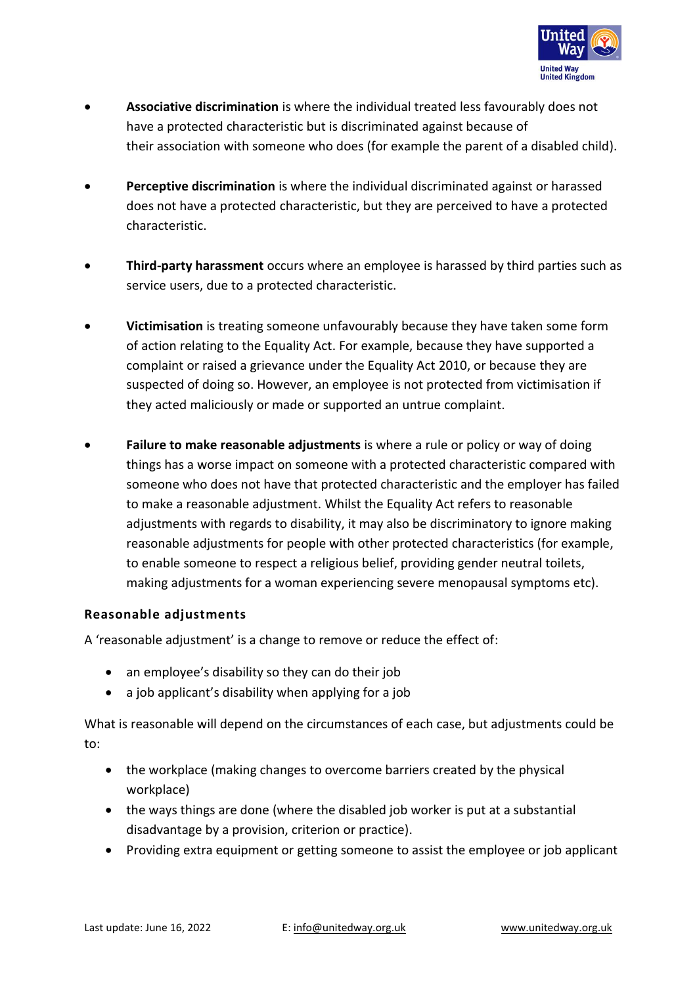

- **Associative discrimination** is where the individual treated less favourably does not have a protected characteristic but is discriminated against because of their association with someone who does (for example the parent of a disabled child).
- **Perceptive discrimination** is where the individual discriminated against or harassed does not have a protected characteristic, but they are perceived to have a protected characteristic.
- **Third-party harassment** occurs where an employee is harassed by third parties such as service users, due to a protected characteristic.
- **Victimisation** is treating someone unfavourably because they have taken some form of action relating to the Equality Act. For example, because they have supported a complaint or raised a grievance under the Equality Act 2010, or because they are suspected of doing so. However, an employee is not protected from victimisation if they acted maliciously or made or supported an untrue complaint.
- **Failure to make reasonable adjustments** is where a rule or policy or way of doing things has a worse impact on someone with a protected characteristic compared with someone who does not have that protected characteristic and the employer has failed to make a reasonable adjustment. Whilst the Equality Act refers to reasonable adjustments with regards to disability, it may also be discriminatory to ignore making reasonable adjustments for people with other protected characteristics (for example, to enable someone to respect a religious belief, providing gender neutral toilets, making adjustments for a woman experiencing severe menopausal symptoms etc).

## **Reasonable adjustments**

A 'reasonable adjustment' is a change to remove or reduce the effect of:

- an employee's disability so they can do their job
- a job applicant's disability when applying for a job

What is reasonable will depend on the circumstances of each case, but adjustments could be to:

- the workplace (making changes to overcome barriers created by the physical workplace)
- the ways things are done (where the disabled job worker is put at a substantial disadvantage by a provision, criterion or practice).
- Providing extra equipment or getting someone to assist the employee or job applicant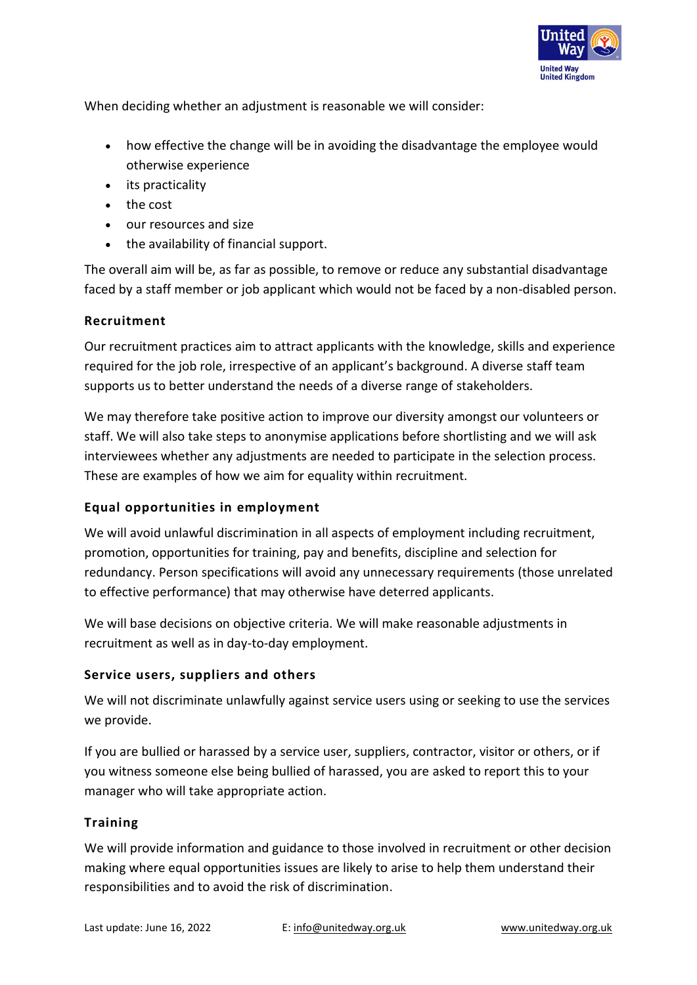

When deciding whether an adjustment is reasonable we will consider:

- how effective the change will be in avoiding the disadvantage the employee would otherwise experience
- its practicality
- the cost
- our resources and size
- the availability of financial support.

The overall aim will be, as far as possible, to remove or reduce any substantial disadvantage faced by a staff member or job applicant which would not be faced by a non-disabled person.

## **Recruitment**

Our recruitment practices aim to attract applicants with the knowledge, skills and experience required for the job role, irrespective of an applicant's background. A diverse staff team supports us to better understand the needs of a diverse range of stakeholders.

We may therefore take positive action to improve our diversity amongst our volunteers or staff. We will also take steps to anonymise applications before shortlisting and we will ask interviewees whether any adjustments are needed to participate in the selection process. These are examples of how we aim for equality within recruitment.

# **Equal opportunities in employment**

We will avoid unlawful discrimination in all aspects of employment including recruitment, promotion, opportunities for training, pay and benefits, discipline and selection for redundancy. Person specifications will avoid any unnecessary requirements (those unrelated to effective performance) that may otherwise have deterred applicants.

We will base decisions on objective criteria. We will make reasonable adjustments in recruitment as well as in day-to-day employment.

# **Service users, suppliers and others**

We will not discriminate unlawfully against service users using or seeking to use the services we provide.

If you are bullied or harassed by a service user, suppliers, contractor, visitor or others, or if you witness someone else being bullied of harassed, you are asked to report this to your manager who will take appropriate action.

## **Training**

We will provide information and guidance to those involved in recruitment or other decision making where equal opportunities issues are likely to arise to help them understand their responsibilities and to avoid the risk of discrimination.